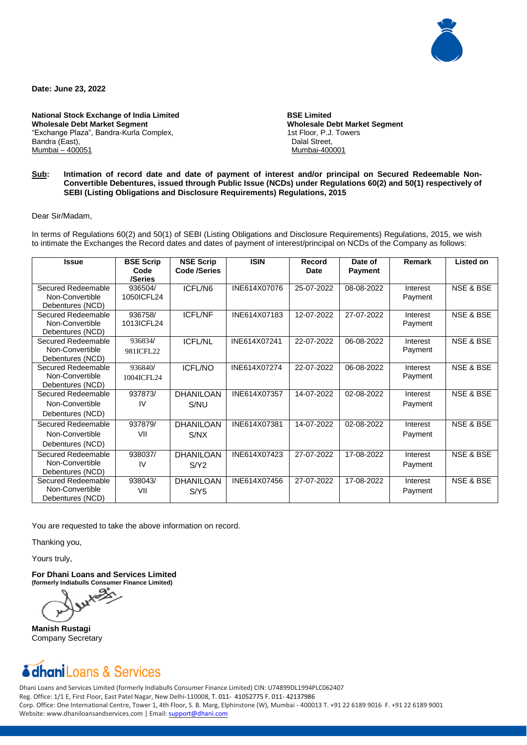

**Date: June 23, 2022**

**National Stock Exchange of India Limited Wholesale Debt Market Segment** "Exchange Plaza", Bandra-Kurla Complex, Bandra (East), Mumbai – 400051

 **BSE Limited Wholesale Debt Market Segment** 1st Floor, P.J. Towers Dalal Street, Mumbai-400001

## **Sub: Intimation of record date and date of payment of interest and/or principal on Secured Redeemable Non-Convertible Debentures, issued through Public Issue (NCDs) under Regulations 60(2) and 50(1) respectively of SEBI (Listing Obligations and Disclosure Requirements) Regulations, 2015**

Dear Sir/Madam,

In terms of Regulations 60(2) and 50(1) of SEBI (Listing Obligations and Disclosure Requirements) Regulations, 2015, we wish to intimate the Exchanges the Record dates and dates of payment of interest/principal on NCDs of the Company as follows:

| <b>Issue</b>                                              | <b>BSE Scrip</b><br>Code<br>/Series | <b>NSE Scrip</b><br><b>Code /Series</b> | <b>ISIN</b>  | Record<br>Date | Date of<br><b>Payment</b> | Remark              | <b>Listed on</b>     |
|-----------------------------------------------------------|-------------------------------------|-----------------------------------------|--------------|----------------|---------------------------|---------------------|----------------------|
| Secured Redeemable<br>Non-Convertible<br>Debentures (NCD) | 936504/<br>1050ICFL24               | ICFL/N6                                 | INE614X07076 | 25-07-2022     | 08-08-2022                | Interest<br>Payment | <b>NSE &amp; BSE</b> |
| Secured Redeemable<br>Non-Convertible<br>Debentures (NCD) | 936758/<br>1013ICFL24               | <b>ICFL/NF</b>                          | INE614X07183 | 12-07-2022     | 27-07-2022                | Interest<br>Payment | <b>NSE &amp; BSE</b> |
| Secured Redeemable<br>Non-Convertible<br>Debentures (NCD) | 936834/<br>981ICFL22                | <b>ICFL/NL</b>                          | INE614X07241 | 22-07-2022     | 06-08-2022                | Interest<br>Payment | <b>NSE &amp; BSE</b> |
| Secured Redeemable<br>Non-Convertible<br>Debentures (NCD) | 936840/<br>1004ICFL24               | <b>ICFL/NO</b>                          | INE614X07274 | 22-07-2022     | 06-08-2022                | Interest<br>Payment | <b>NSE &amp; BSE</b> |
| Secured Redeemable<br>Non-Convertible<br>Debentures (NCD) | 937873/<br>IV                       | <b>DHANILOAN</b><br>S/NU                | INE614X07357 | 14-07-2022     | 02-08-2022                | Interest<br>Payment | <b>NSE &amp; BSE</b> |
| Secured Redeemable<br>Non-Convertible<br>Debentures (NCD) | 937879/<br>VII                      | <b>DHANILOAN</b><br>S/NX                | INE614X07381 | 14-07-2022     | 02-08-2022                | Interest<br>Payment | <b>NSE &amp; BSE</b> |
| Secured Redeemable<br>Non-Convertible<br>Debentures (NCD) | 938037/<br>IV                       | <b>DHANILOAN</b><br>S/Y2                | INE614X07423 | 27-07-2022     | 17-08-2022                | Interest<br>Payment | NSE & BSE            |
| Secured Redeemable<br>Non-Convertible<br>Debentures (NCD) | 938043/<br>VII                      | <b>DHANILOAN</b><br>S/Y5                | INE614X07456 | 27-07-2022     | 17-08-2022                | Interest<br>Payment | <b>NSE &amp; BSE</b> |

You are requested to take the above information on record.

Thanking you,

Yours truly,

**For Dhani Loans and Services Limited (formerly Indiabulls Consumer Finance Limited)**

**Manish Rustagi** Company Secretary

## dhaniLoans & Services

Dhani Loans and Services Limited (formerly Indiabulls Consumer Finance Limited) CIN: U74899DL1994PLC062407 Reg. Office: 1/1 E, First Floor, East Patel Nagar, New Delhi-110008, T. 011- 41052775 F. 011- 42137986 Corp. Office: One International Centre, Tower 1, 4th Floor, S. B. Marg, Elphinstone (W), Mumbai - 400013 T. +91 22 6189 9016 F. +91 22 6189 9001 Website: www.dhaniloansandservices.com | Email: [support@dhani.com](mailto:support@dhani.com)